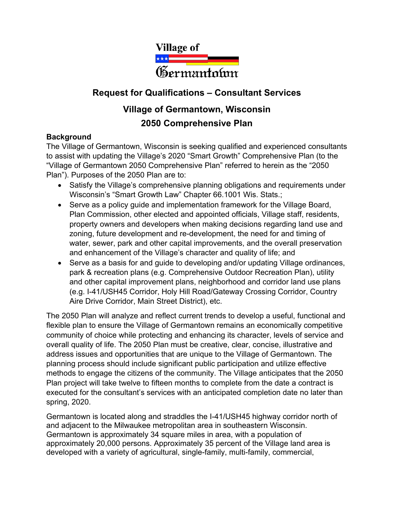

## **Request for Qualifications – Consultant Services**

# **Village of Germantown, Wisconsin 2050 Comprehensive Plan**

### **Background**

The Village of Germantown, Wisconsin is seeking qualified and experienced consultants to assist with updating the Village's 2020 "Smart Growth" Comprehensive Plan (to the "Village of Germantown 2050 Comprehensive Plan" referred to herein as the "2050 Plan"). Purposes of the 2050 Plan are to:

- Satisfy the Village's comprehensive planning obligations and requirements under Wisconsin's "Smart Growth Law" Chapter 66.1001 Wis. Stats.;
- Serve as a policy guide and implementation framework for the Village Board, Plan Commission, other elected and appointed officials, Village staff, residents, property owners and developers when making decisions regarding land use and zoning, future development and re-development, the need for and timing of water, sewer, park and other capital improvements, and the overall preservation and enhancement of the Village's character and quality of life; and
- Serve as a basis for and guide to developing and/or updating Village ordinances, park & recreation plans (e.g. Comprehensive Outdoor Recreation Plan), utility and other capital improvement plans, neighborhood and corridor land use plans (e.g. I-41/USH45 Corridor, Holy Hill Road/Gateway Crossing Corridor, Country Aire Drive Corridor, Main Street District), etc.

The 2050 Plan will analyze and reflect current trends to develop a useful, functional and flexible plan to ensure the Village of Germantown remains an economically competitive community of choice while protecting and enhancing its character, levels of service and overall quality of life. The 2050 Plan must be creative, clear, concise, illustrative and address issues and opportunities that are unique to the Village of Germantown. The planning process should include significant public participation and utilize effective methods to engage the citizens of the community. The Village anticipates that the 2050 Plan project will take twelve to fifteen months to complete from the date a contract is executed for the consultant's services with an anticipated completion date no later than spring, 2020.

Germantown is located along and straddles the I-41/USH45 highway corridor north of and adjacent to the Milwaukee metropolitan area in southeastern Wisconsin. Germantown is approximately 34 square miles in area, with a population of approximately 20,000 persons. Approximately 35 percent of the Village land area is developed with a variety of agricultural, single-family, multi-family, commercial,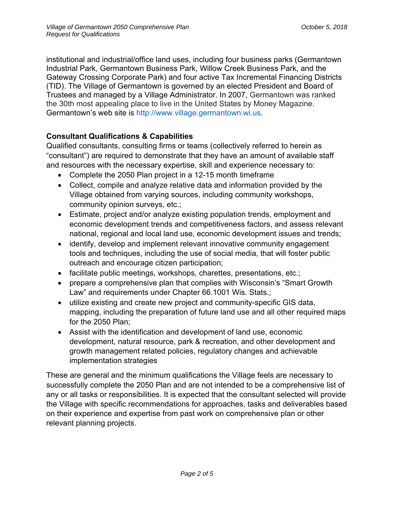institutional and industrial/office land uses, including four business parks (Germantown Industrial Park, Germantown Business Park, Willow Creek Business Park, and the Gateway Crossing Corporate Park) and four active Tax Incremental Financing Districts (TID). The Village of Germantown is governed by an elected President and Board of Trustees and managed by a Village Administrator. In 2007, Germantown was ranked the 30th most appealing place to live in the United States by Money Magazine. Germantown's web site is http://www.village.germantown.wi.us.

## **Consultant Qualifications & Capabilities**

Qualified consultants, consulting firms or teams (collectively referred to herein as "consultant") are required to demonstrate that they have an amount of available staff and resources with the necessary expertise, skill and experience necessary to:

- Complete the 2050 Plan project in a 12-15 month timeframe
- Collect, compile and analyze relative data and information provided by the Village obtained from varying sources, including community workshops, community opinion surveys, etc.;
- Estimate, project and/or analyze existing population trends, employment and economic development trends and competitiveness factors, and assess relevant national, regional and local land use, economic development issues and trends;
- identify, develop and implement relevant innovative community engagement tools and techniques, including the use of social media, that will foster public outreach and encourage citizen participation;
- facilitate public meetings, workshops, charettes, presentations, etc.;
- prepare a comprehensive plan that complies with Wisconsin's "Smart Growth Law" and requirements under Chapter 66.1001 Wis. Stats.;
- utilize existing and create new project and community-specific GIS data, mapping, including the preparation of future land use and all other required maps for the 2050 Plan;
- Assist with the identification and development of land use, economic development, natural resource, park & recreation, and other development and growth management related policies, regulatory changes and achievable implementation strategies

These are general and the minimum qualifications the Village feels are necessary to successfully complete the 2050 Plan and are not intended to be a comprehensive list of any or all tasks or responsibilities. It is expected that the consultant selected will provide the Village with specific recommendations for approaches, tasks and deliverables based on their experience and expertise from past work on comprehensive plan or other relevant planning projects.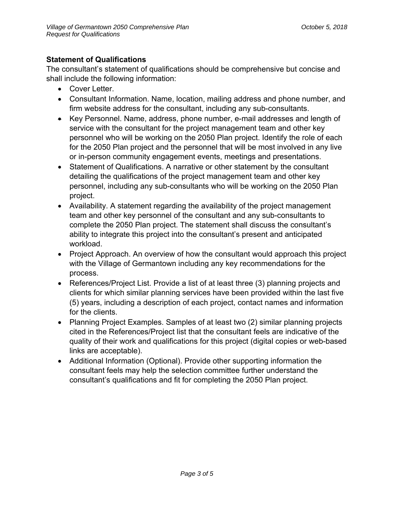## **Statement of Qualifications**

The consultant's statement of qualifications should be comprehensive but concise and shall include the following information:

- Cover Letter.
- Consultant Information. Name, location, mailing address and phone number, and firm website address for the consultant, including any sub-consultants.
- Key Personnel. Name, address, phone number, e-mail addresses and length of service with the consultant for the project management team and other key personnel who will be working on the 2050 Plan project. Identify the role of each for the 2050 Plan project and the personnel that will be most involved in any live or in-person community engagement events, meetings and presentations.
- Statement of Qualifications. A narrative or other statement by the consultant detailing the qualifications of the project management team and other key personnel, including any sub-consultants who will be working on the 2050 Plan project.
- Availability. A statement regarding the availability of the project management team and other key personnel of the consultant and any sub-consultants to complete the 2050 Plan project. The statement shall discuss the consultant's ability to integrate this project into the consultant's present and anticipated workload.
- Project Approach. An overview of how the consultant would approach this project with the Village of Germantown including any key recommendations for the process.
- References/Project List. Provide a list of at least three (3) planning projects and clients for which similar planning services have been provided within the last five (5) years, including a description of each project, contact names and information for the clients.
- Planning Project Examples. Samples of at least two (2) similar planning projects cited in the References/Project list that the consultant feels are indicative of the quality of their work and qualifications for this project (digital copies or web-based links are acceptable).
- Additional Information (Optional). Provide other supporting information the consultant feels may help the selection committee further understand the consultant's qualifications and fit for completing the 2050 Plan project.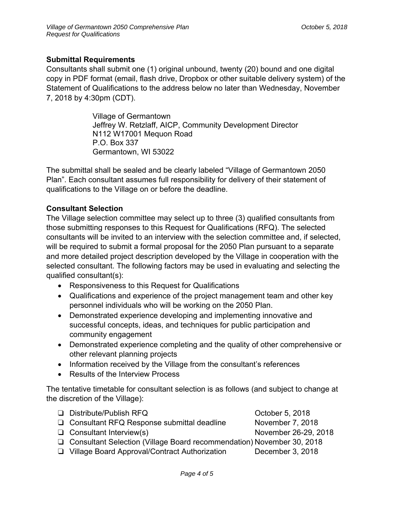#### **Submittal Requirements**

Consultants shall submit one (1) original unbound, twenty (20) bound and one digital copy in PDF format (email, flash drive, Dropbox or other suitable delivery system) of the Statement of Qualifications to the address below no later than Wednesday, November 7, 2018 by 4:30pm (CDT).

> Village of Germantown Jeffrey W. Retzlaff, AICP, Community Development Director N112 W17001 Mequon Road P.O. Box 337 Germantown, WI 53022

The submittal shall be sealed and be clearly labeled "Village of Germantown 2050 Plan". Each consultant assumes full responsibility for delivery of their statement of qualifications to the Village on or before the deadline.

#### **Consultant Selection**

The Village selection committee may select up to three (3) qualified consultants from those submitting responses to this Request for Qualifications (RFQ). The selected consultants will be invited to an interview with the selection committee and, if selected, will be required to submit a formal proposal for the 2050 Plan pursuant to a separate and more detailed project description developed by the Village in cooperation with the selected consultant. The following factors may be used in evaluating and selecting the qualified consultant(s):

- Responsiveness to this Request for Qualifications
- Qualifications and experience of the project management team and other key personnel individuals who will be working on the 2050 Plan.
- Demonstrated experience developing and implementing innovative and successful concepts, ideas, and techniques for public participation and community engagement
- Demonstrated experience completing and the quality of other comprehensive or other relevant planning projects
- Information received by the Village from the consultant's references
- Results of the Interview Process

The tentative timetable for consultant selection is as follows (and subject to change at the discretion of the Village):

| □ Distribute/Publish RFQ                                                | October 5, 2018      |
|-------------------------------------------------------------------------|----------------------|
| □ Consultant RFQ Response submittal deadline                            | November 7, 2018     |
| $\Box$ Consultant Interview(s)                                          | November 26-29, 2018 |
| □ Consultant Selection (Village Board recommendation) November 30, 2018 |                      |
| □ Village Board Approval/Contract Authorization                         | December 3, 2018     |
|                                                                         |                      |